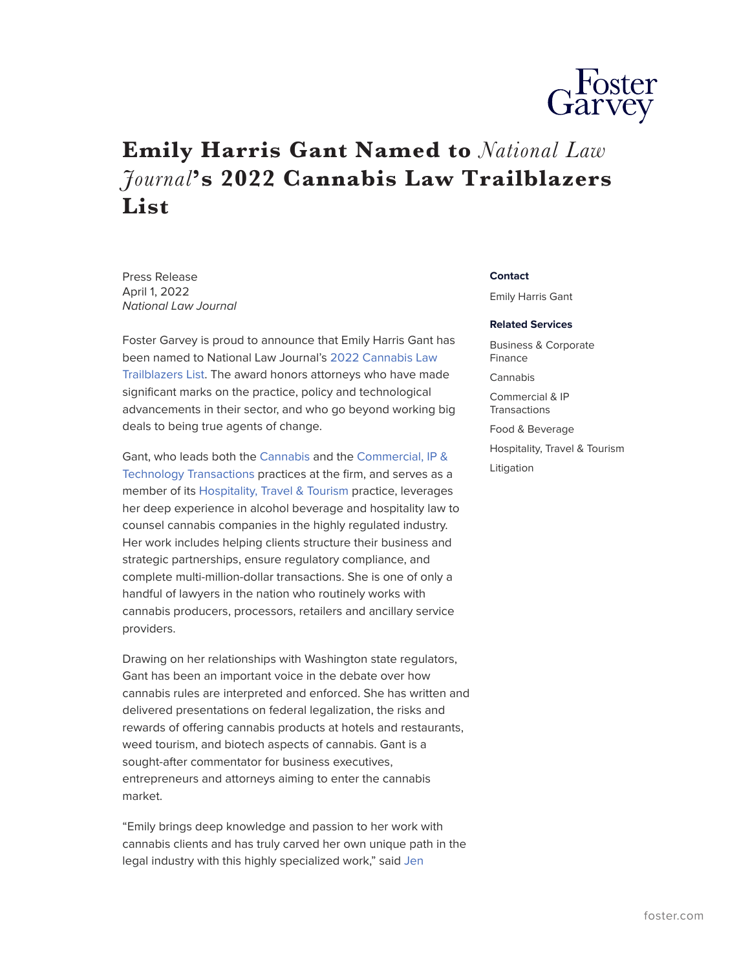

## **Emily Harris Gant Named to** *National Law Journal***'s 2022 Cannabis Law Trailblazers List**

Press Release April 1, 2022 *National Law Journal*

Foster Garvey is proud to announce that Emily Harris Gant has been named to National Law Journal's [2022 Cannabis Law](https://images.law.com/media/nationallawjournal/supplements/NLJTB_Cannabis_2022/index.html#p=1) [Trailblazers List](https://images.law.com/media/nationallawjournal/supplements/NLJTB_Cannabis_2022/index.html#p=1). The award honors attorneys who have made significant marks on the practice, policy and technological advancements in their sector, and who go beyond working big deals to being true agents of change.

Gant, who leads both the [Cannabis](https://www.foster.com/services-practices-cannabis) and the [Commercial, IP &](https://www.foster.com/services-practices-tech-transactions) [Technology Transactions](https://www.foster.com/services-practices-tech-transactions) practices at the firm, and serves as a member of its [Hospitality, Travel & Tourism](https://www.foster.com/services-practices-hospitality-travel-tourism) practice, leverages her deep experience in alcohol beverage and hospitality law to counsel cannabis companies in the highly regulated industry. Her work includes helping clients structure their business and strategic partnerships, ensure regulatory compliance, and complete multi-million-dollar transactions. She is one of only a handful of lawyers in the nation who routinely works with cannabis producers, processors, retailers and ancillary service providers.

Drawing on her relationships with Washington state regulators, Gant has been an important voice in the debate over how cannabis rules are interpreted and enforced. She has written and delivered presentations on federal legalization, the risks and rewards of offering cannabis products at hotels and restaurants, weed tourism, and biotech aspects of cannabis. Gant is a sought-after commentator for business executives, entrepreneurs and attorneys aiming to enter the cannabis market.

"Emily brings deep knowledge and passion to her work with cannabis clients and has truly carved her own unique path in the legal industry with this highly specialized work," said [Jen](https://www.foster.com/people-jen-castleberry)

## **Contact**

Emily Harris Gant

## **Related Services**

Business & Corporate Finance Cannabis Commercial & IP **Transactions** Food & Beverage Hospitality, Travel & Tourism Litigation